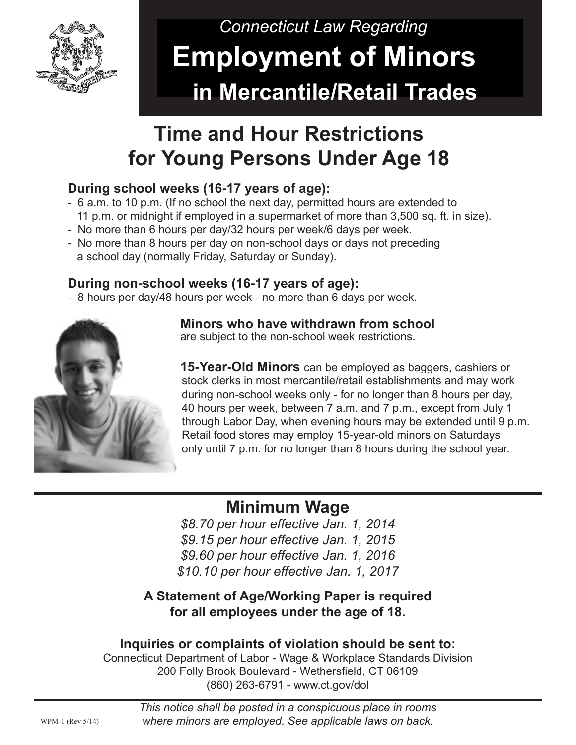

# *Connecticut Law Regarding*  **Employment of Minors in Mercantile/Retail Trades**

## **Time and Hour Restrictions for Young Persons Under Age 18**

#### **During school weeks (16-17 years of age):**

- 6 a.m. to 10 p.m. (If no school the next day, permitted hours are extended to 11 p.m. or midnight if employed in a supermarket of more than 3,500 sq. ft. in size).
- No more than 6 hours per day/32 hours per week/6 days per week.
- No more than 8 hours per day on non-school days or days not preceding a school day (normally Friday, Saturday or Sunday).

#### **During non-school weeks (16-17 years of age):**

- 8 hours per day/48 hours per week - no more than 6 days per week.



 **Minors who have withdrawn from school** are subject to the non-school week restrictions.

 **15-Year-Old Minors** can be employed as baggers, cashiers or stock clerks in most mercantile/retail establishments and may work during non-school weeks only - for no longer than 8 hours per day, 40 hours per week, between 7 a.m. and 7 p.m., except from July 1 through Labor Day, when evening hours may be extended until 9 p.m. Retail food stores may employ 15-year-old minors on Saturdays only until 7 p.m. for no longer than 8 hours during the school year.

### **Minimum Wage**

*\$8.70 per hour effective Jan. 1, 2014 \$9.15 per hour effective Jan. 1, 2015 \$9.60 per hour effective Jan. 1, 2016 \$10.10 per hour effective Jan. 1, 2017*

**A Statement of Age/Working Paper is required for all employees under the age of 18.**

#### **Inquiries or complaints of violation should be sent to:**

Connecticut Department of Labor - Wage & Workplace Standards Division 200 Folly Brook Boulevard - Wethersfield, CT 06109 (860) 263-6791 - www.ct.gov/dol

> *This notice shall be posted in a conspicuous place in rooms where minors are employed. See applicable laws on back.*